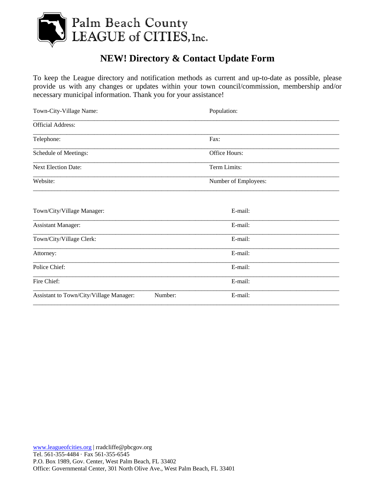

## **NEW! Directory & Contact Update Form**

To keep the League directory and notification methods as current and up-to-date as possible, please provide us with any changes or updates within your town council/commission, membership and/or necessary municipal information. Thank you for your assistance!

| Town-City-Village Name:                 |         | Population:          |  |
|-----------------------------------------|---------|----------------------|--|
| <b>Official Address:</b>                |         |                      |  |
| Telephone:                              |         | Fax:                 |  |
| Schedule of Meetings:                   |         | Office Hours:        |  |
| <b>Next Election Date:</b>              |         | Term Limits:         |  |
| Website:                                |         | Number of Employees: |  |
| Town/City/Village Manager:              |         | E-mail:              |  |
| <b>Assistant Manager:</b>               |         | E-mail:              |  |
| Town/City/Village Clerk:                |         | E-mail:              |  |
| Attorney:                               |         | E-mail:              |  |
| Police Chief:                           |         | E-mail:              |  |
| Fire Chief:                             |         | E-mail:              |  |
| Assistant to Town/City/Village Manager: | Number: | E-mail:              |  |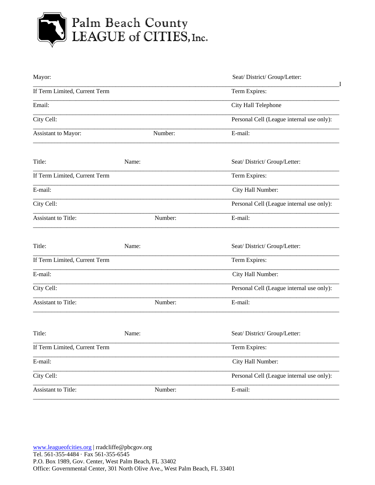

## Palm Beach County<br>LEAGUE of CITIES, Inc.

| Mayor:                        |         | Seat/District/Group/Letter:               |
|-------------------------------|---------|-------------------------------------------|
| If Term Limited, Current Term |         | Term Expires:                             |
| Email:                        |         | City Hall Telephone                       |
| City Cell:                    |         | Personal Cell (League internal use only): |
| Assistant to Mayor:           | Number: | E-mail:                                   |
| Title:                        | Name:   | Seat/District/Group/Letter:               |
| If Term Limited, Current Term |         | Term Expires:                             |
| E-mail:                       |         | City Hall Number:                         |
| City Cell:                    |         | Personal Cell (League internal use only): |
| <b>Assistant to Title:</b>    | Number: | E-mail:                                   |
| Title:                        | Name:   | Seat/District/Group/Letter:               |
| If Term Limited, Current Term |         | Term Expires:                             |
| E-mail:                       |         | City Hall Number:                         |
| City Cell:                    |         | Personal Cell (League internal use only): |
| <b>Assistant to Title:</b>    | Number: | E-mail:                                   |
| Title:                        | Name:   | Seat/District/Group/Letter:               |
| If Term Limited, Current Term |         | Term Expires:                             |
| E-mail:                       |         | City Hall Number:                         |
| City Cell:                    |         | Personal Cell (League internal use only): |
| Assistant to Title:           | Number: | E-mail:                                   |